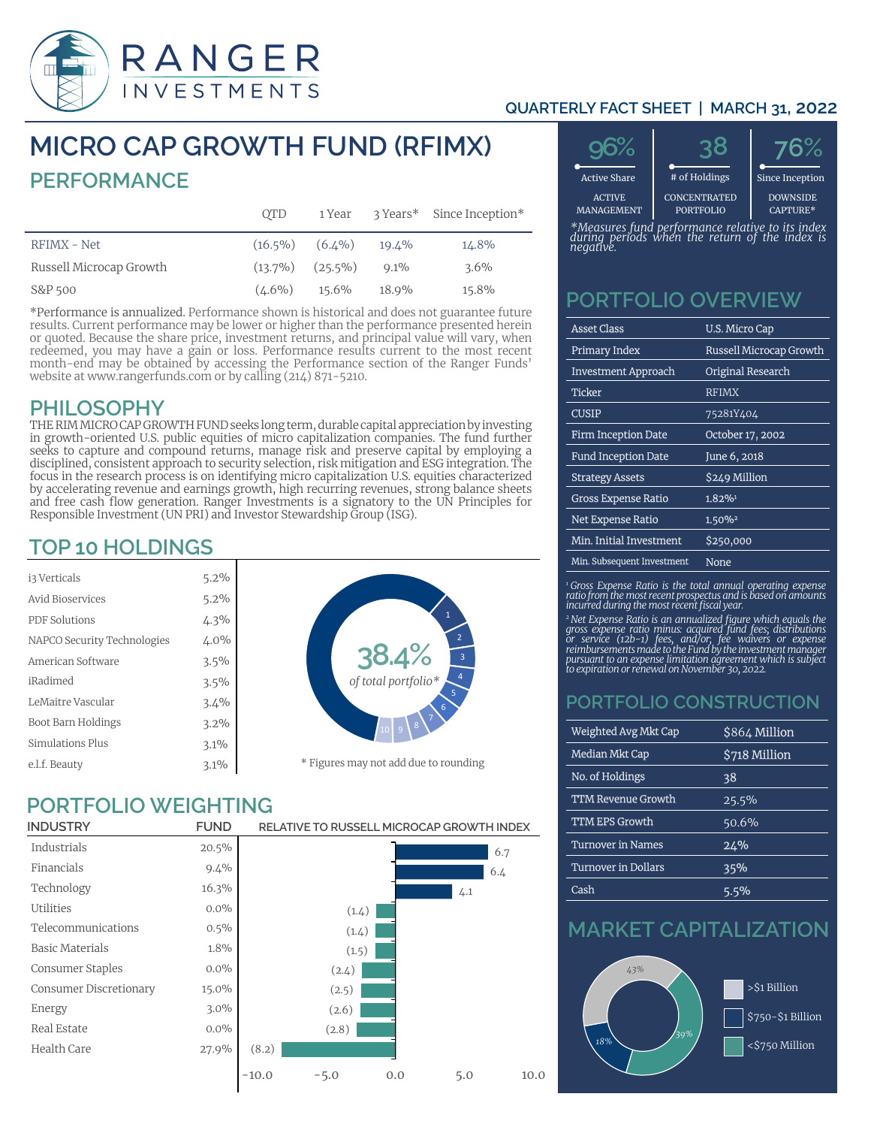

#### **QUARTERLY FACT SHEET | MARCH 31, 2022**

# **MICRO CAP GROWTH FUND (RFIMX) PERFORMANCE**

|                         | <b>OTD</b> | 1 Year                |         | 3 Years* Since Inception* |
|-------------------------|------------|-----------------------|---------|---------------------------|
| RFIMX - Net             |            | $(16.5\%)$ $(6.4\%)$  | 19.4%   | 14.8%                     |
| Russell Microcap Growth |            | $(13.7\%)$ $(25.5\%)$ | $9.1\%$ | $3.6\%$                   |
| S&P 500                 | $(4.6\%)$  | 15.6%                 | 18.9%   | 15.8%                     |

\*Performance is annualized. Performance shown is historical and does not guarantee future results. Current performance may be lower or higher than the performance presented herein or quoted. Because the share price, investment returns, and principal value will vary, when redeemed, you may have a gain or loss. Performance results current to the most recent month-end may be obtained by accessing the Performance section of the Ranger Funds' website at www.rangerfunds.com or by calling (214) 871-5210.

#### **PHILOSOPHY**

THE RIM MICRO CAP GROWTH FUND seeks long term, durable capital appreciation by investing in growth-oriented U.S. public equities of micro capitalization companies. The fund further seeks to capture and compound returns, manage risk and preserve capital by employing a disciplined, consistent approach to security selection, risk mitigation and ESG integration. The focus in the research process is on identifying micro capitalization U.S. equities characterized by accelerating revenue and earnings growth, high recurring revenues, strong balance sheets and free cash flow generation. Ranger Investments is a signatory to the UN Principles for Responsible Investment (UN PRI) and Investor Stewardship Group (ISG).

## **TOP 10 HOLDINGS**

| i3 Verticals                |                                                                         |
|-----------------------------|-------------------------------------------------------------------------|
| Avid Bioservices            |                                                                         |
| <b>PDF</b> Solutions        |                                                                         |
| NAPCO Security Technologies | $5.2\%$ $5.2\%$ $4.3\%$ $4.0\%$ $3.5\%$ $3.4\%$ $3.2\%$ $3.1\%$ $3.1\%$ |
| American Software           |                                                                         |
| iRadimed                    |                                                                         |
| LeMaitre Vascular           |                                                                         |
| Boot Barn Holdings          |                                                                         |
| Simulations Plus            |                                                                         |
| e.l.f. Beauty               |                                                                         |



## **PORTFOLIO WEIGHTING**

| <b>INDUSTRY</b>        | <b>FUND</b> |         | RELATIVE TO RUSSELL MICROCAP GROWTH INDEX |     |     |      |
|------------------------|-------------|---------|-------------------------------------------|-----|-----|------|
| Industrials            | 20.5%       |         |                                           |     |     | 6.7  |
| Financials             | 9.4%        |         |                                           |     |     | 6.4  |
| Technology             | 16.3%       |         |                                           |     | 4.1 |      |
| <b>Utilities</b>       | $0.0\%$     |         | (1.4)                                     |     |     |      |
| Telecommunications     | $0.5\%$     |         | (1.4)                                     |     |     |      |
| <b>Basic Materials</b> | 1.8%        |         | (1.5)                                     |     |     |      |
| Consumer Staples       | $0.0\%$     |         | (2.4)                                     |     |     |      |
| Consumer Discretionary | 15.0%       |         | (2.5)                                     |     |     |      |
| Energy                 | $3.0\%$     |         | (2.6)                                     |     |     |      |
| Real Estate            | $0.0\%$     |         | (2.8)                                     |     |     |      |
| Health Care            | 27.9%       | (8.2)   |                                           |     |     |      |
|                        |             | $-10.0$ | $-5.0$                                    | 0.0 | 5.0 | 10.0 |



*\*Measures fund performance relative to its index during periods when the return of the index is negative.*

### **PORTFOLIO OVERVIEW**

| <b>Asset Class</b>         | U.S. Micro Cap                 |
|----------------------------|--------------------------------|
| <b>Primary Index</b>       | <b>Russell Microcap Growth</b> |
| <b>Investment Approach</b> | Original Research              |
| Ticker                     | <b>RFIMX</b>                   |
| Cusip                      | 75281Y404                      |
| <b>Firm Inception Date</b> | October 17, 2002               |
| <b>Fund Inception Date</b> | June 6, 2018                   |
| <b>Strategy Assets</b>     | \$249 Million                  |
| <b>Gross Expense Ratio</b> | 1.82%1                         |
| <b>Net Expense Ratio</b>   | 1.50%2                         |
| Min. Initial Investment    | \$250,000                      |
| Min. Subsequent Investment | None                           |

*1 Gross Expense Ratio is the total annual operating expense ratio from the most recent prospectus and is based on amounts incurred during the most recent fiscal year.*

<sup>2</sup> Net Expense Ratio is an annualized figure which equals the<br>gross expense ratio minus: acquired fund fees, distributions<br>or service (12b-1) fees, and/or, fee waivers or expense<br>reimbursements made to the Fund by the inv

#### **PORTFOLIO CONSTRUCTION**

| Weighted Avg Mkt Cap       | \$864 Million |
|----------------------------|---------------|
| <b>Median Mkt Cap</b>      | \$718 Million |
| No. of Holdings            | 38            |
| <b>TTM Revenue Growth</b>  | 25.5%         |
| <b>TTM EPS Growth</b>      | 50.6%         |
| <b>Turnover in Names</b>   | 24%           |
| <b>Turnover in Dollars</b> | 35%           |
| Cash                       | 5.5%          |

# **MARKET CAPITALIZATION**